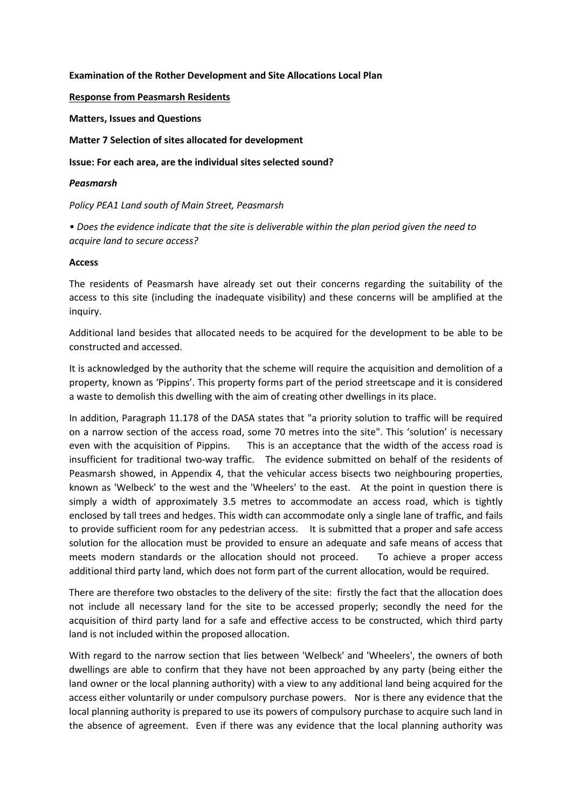## **Examination of the Rother Development and Site Allocations Local Plan**

## **Response from Peasmarsh Residents**

**Matters, Issues and Questions**

**Matter 7 Selection of sites allocated for development**

**Issue: For each area, are the individual sites selected sound?**

## *Peasmarsh*

*Policy PEA1 Land south of Main Street, Peasmarsh*

*• Does the evidence indicate that the site is deliverable within the plan period given the need to acquire land to secure access?*

## **Access**

The residents of Peasmarsh have already set out their concerns regarding the suitability of the access to this site (including the inadequate visibility) and these concerns will be amplified at the inquiry.

Additional land besides that allocated needs to be acquired for the development to be able to be constructed and accessed.

It is acknowledged by the authority that the scheme will require the acquisition and demolition of a property, known as 'Pippins'. This property forms part of the period streetscape and it is considered a waste to demolish this dwelling with the aim of creating other dwellings in its place.

In addition, Paragraph 11.178 of the DASA states that "a priority solution to traffic will be required on a narrow section of the access road, some 70 metres into the site". This 'solution' is necessary even with the acquisition of Pippins. This is an acceptance that the width of the access road is insufficient for traditional two-way traffic. The evidence submitted on behalf of the residents of Peasmarsh showed, in Appendix 4, that the vehicular access bisects two neighbouring properties, known as 'Welbeck' to the west and the 'Wheelers' to the east. At the point in question there is simply a width of approximately 3.5 metres to accommodate an access road, which is tightly enclosed by tall trees and hedges. This width can accommodate only a single lane of traffic, and fails to provide sufficient room for any pedestrian access. It is submitted that a proper and safe access solution for the allocation must be provided to ensure an adequate and safe means of access that meets modern standards or the allocation should not proceed. To achieve a proper access additional third party land, which does not form part of the current allocation, would be required.

There are therefore two obstacles to the delivery of the site: firstly the fact that the allocation does not include all necessary land for the site to be accessed properly; secondly the need for the acquisition of third party land for a safe and effective access to be constructed, which third party land is not included within the proposed allocation.

With regard to the narrow section that lies between 'Welbeck' and 'Wheelers', the owners of both dwellings are able to confirm that they have not been approached by any party (being either the land owner or the local planning authority) with a view to any additional land being acquired for the access either voluntarily or under compulsory purchase powers. Nor is there any evidence that the local planning authority is prepared to use its powers of compulsory purchase to acquire such land in the absence of agreement. Even if there was any evidence that the local planning authority was